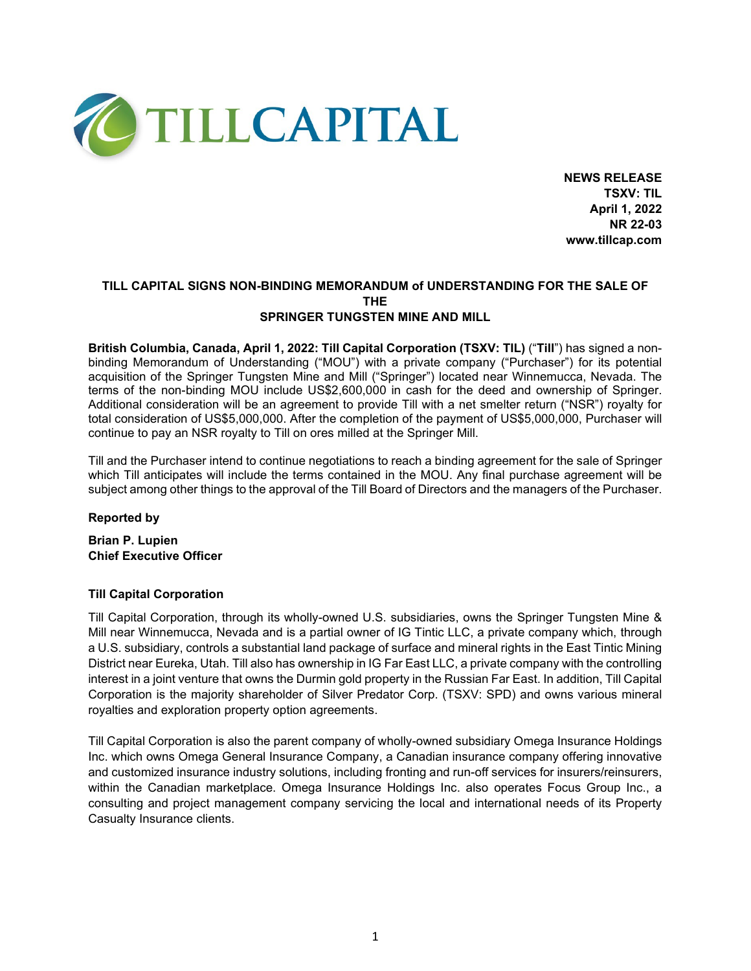

**NEWS RELEASE TSXV: TIL April 1, 2022 NR 22-03 www.tillcap.com**

# **TILL CAPITAL SIGNS NON-BINDING MEMORANDUM of UNDERSTANDING FOR THE SALE OF THE SPRINGER TUNGSTEN MINE AND MILL**

**British Columbia, Canada, April 1, 2022: Till Capital Corporation (TSXV: TIL)** ("**Till**") has signed a nonbinding Memorandum of Understanding ("MOU") with a private company ("Purchaser") for its potential acquisition of the Springer Tungsten Mine and Mill ("Springer") located near Winnemucca, Nevada. The terms of the non-binding MOU include US\$2,600,000 in cash for the deed and ownership of Springer. Additional consideration will be an agreement to provide Till with a net smelter return ("NSR") royalty for total consideration of US\$5,000,000. After the completion of the payment of US\$5,000,000, Purchaser will continue to pay an NSR royalty to Till on ores milled at the Springer Mill.

Till and the Purchaser intend to continue negotiations to reach a binding agreement for the sale of Springer which Till anticipates will include the terms contained in the MOU. Any final purchase agreement will be subject among other things to the approval of the Till Board of Directors and the managers of the Purchaser.

# **Reported by**

**Brian P. Lupien Chief Executive Officer**

# **Till Capital Corporation**

Till Capital Corporation, through its wholly-owned U.S. subsidiaries, owns the Springer Tungsten Mine & Mill near Winnemucca, Nevada and is a partial owner of IG Tintic LLC, a private company which, through a U.S. subsidiary, controls a substantial land package of surface and mineral rights in the East Tintic Mining District near Eureka, Utah. Till also has ownership in IG Far East LLC, a private company with the controlling interest in a joint venture that owns the Durmin gold property in the Russian Far East. In addition, Till Capital Corporation is the majority shareholder of Silver Predator Corp. (TSXV: SPD) and owns various mineral royalties and exploration property option agreements.

Till Capital Corporation is also the parent company of wholly-owned subsidiary Omega Insurance Holdings Inc. which owns Omega General Insurance Company, a Canadian insurance company offering innovative and customized insurance industry solutions, including fronting and run-off services for insurers/reinsurers, within the Canadian marketplace. Omega Insurance Holdings Inc. also operates Focus Group Inc., a consulting and project management company servicing the local and international needs of its Property Casualty Insurance clients.